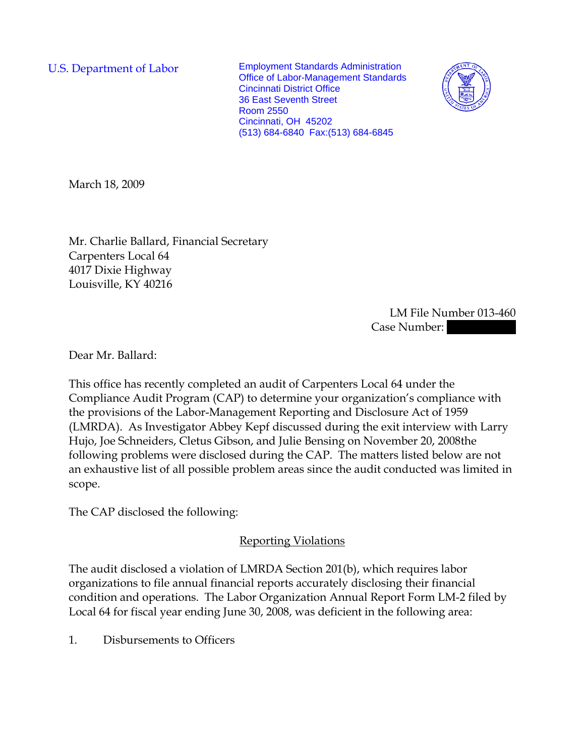U.S. Department of Labor Employment Standards Administration Office of Labor-Management Standards Cincinnati District Office 36 East Seventh Street Room 2550 Cincinnati, OH 45202 (513) 684-6840 Fax:(513) 684-6845



March 18, 2009

Mr. Charlie Ballard, Financial Secretary Carpenters Local 64 4017 Dixie Highway Louisville, KY 40216

> LM File Number 013-460 Case Number:

Dear Mr. Ballard:

This office has recently completed an audit of Carpenters Local 64 under the Compliance Audit Program (CAP) to determine your organization's compliance with the provisions of the Labor-Management Reporting and Disclosure Act of 1959 (LMRDA). As Investigator Abbey Kepf discussed during the exit interview with Larry Hujo, Joe Schneiders, Cletus Gibson, and Julie Bensing on November 20, 2008the following problems were disclosed during the CAP. The matters listed below are not an exhaustive list of all possible problem areas since the audit conducted was limited in scope.

The CAP disclosed the following:

## Reporting Violations

The audit disclosed a violation of LMRDA Section 201(b), which requires labor organizations to file annual financial reports accurately disclosing their financial condition and operations. The Labor Organization Annual Report Form LM-2 filed by Local 64 for fiscal year ending June 30, 2008, was deficient in the following area:

1. Disbursements to Officers